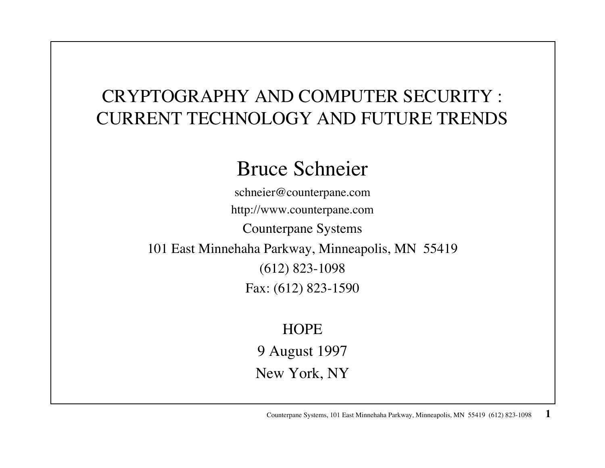# CRYPTOGRAPHY AND COMPUTER SECURITY : CURRENT TECHNOLOGY AND FUTURE TRENDS

# Bruce Schneier

schneier@counterpane.com http://www.counterpane.com Counterpane Systems 101 East Minnehaha Parkway, Minneapolis, MN 55419 (612) 823-1098 Fax: (612) 823-1590

#### **HOPE**

9 August 1997

New York, NY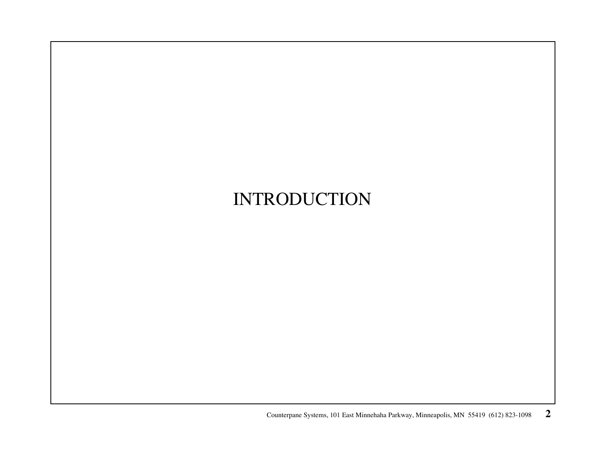# INTRODUCTION

Counterpane Systems, 101 East Minnehaha Parkway, Minneapolis, MN 55419 (612) 823-1098 **2**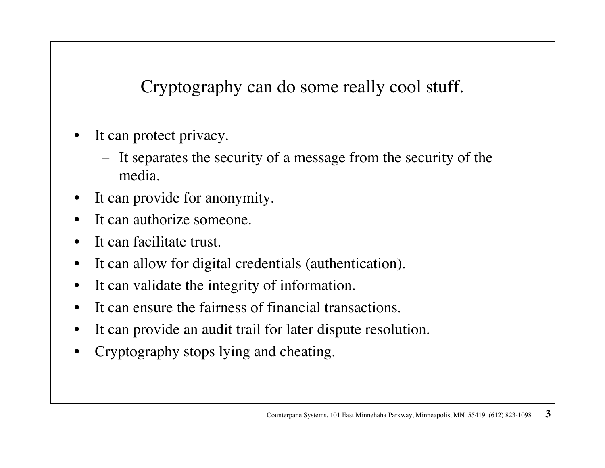Cryptography can do some really cool stuff.

- • It can protect privacy.
	- It separates the security of a message from the security of the media.
- •It can provide for anonymity.
- •It can authorize someone.
- $\bullet$ It can facilitate trust.
- •It can allow for digital credentials (authentication).
- $\bullet$ It can validate the integrity of information.
- •It can ensure the fairness of financial transactions.
- $\bullet$ It can provide an audit trail for later dispute resolution.
- •Cryptography stops lying and cheating.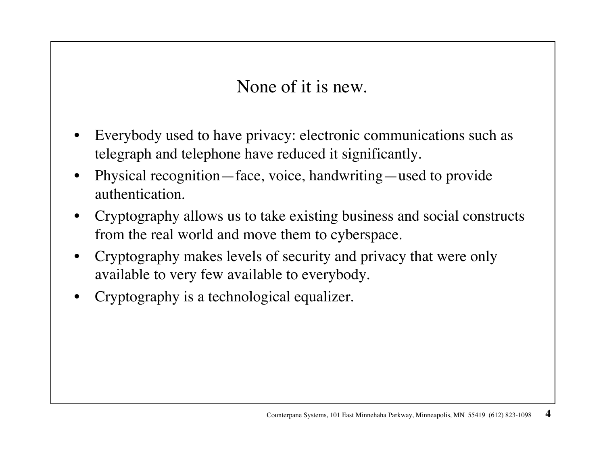None of it is new.

- • Everybody used to have privacy: electronic communications such as telegraph and telephone have reduced it significantly.
- • Physical recognition—face, voice, handwriting—used to provide authentication.
- • Cryptography allows us to take existing business and social constructs from the real world and move them to cyberspace.
- • Cryptography makes levels of security and privacy that were only available to very few available to everybody.
- •Cryptography is a technological equalizer.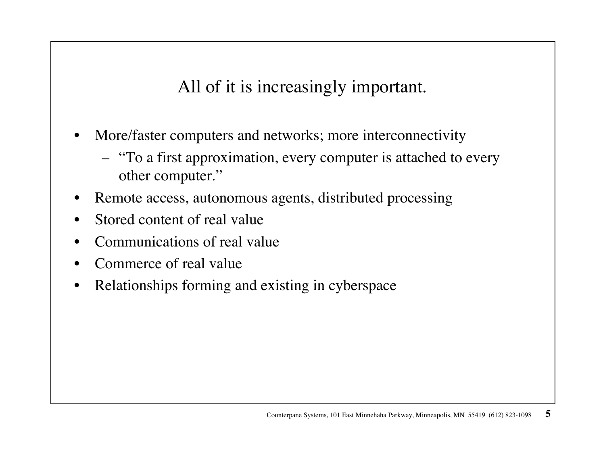All of it is increasingly important.

- $\bullet$  More/faster computers and networks; more interconnectivity
	- "To a first approximation, every computer is attached to every other computer."
- $\bullet$ Remote access, autonomous agents, distributed processing
- •Stored content of real value
- •Communications of real value
- •Commerce of real value
- •Relationships forming and existing in cyberspace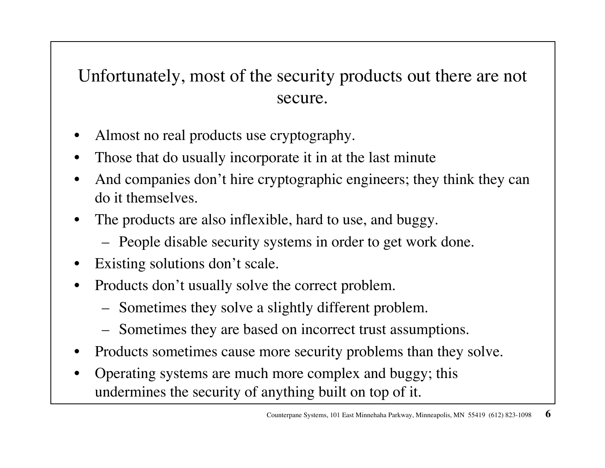#### Unfortunately, most of the security products out there are not secure.

- •Almost no real products use cryptography.
- •Those that do usually incorporate it in at the last minute
- $\bullet$  And companies don't hire cryptographic engineers; they think they can do it themselves.
- • The products are also inflexible, hard to use, and buggy.
	- People disable security systems in order to get work done.
- •Existing solutions don't scale.
- $\bullet$  Products don't usually solve the correct problem.
	- Sometimes they solve a slightly different problem.
	- Sometimes they are based on incorrect trust assumptions.
- •Products sometimes cause more security problems than they solve.
- • Operating systems are much more complex and buggy; this undermines the security of anything built on top of it.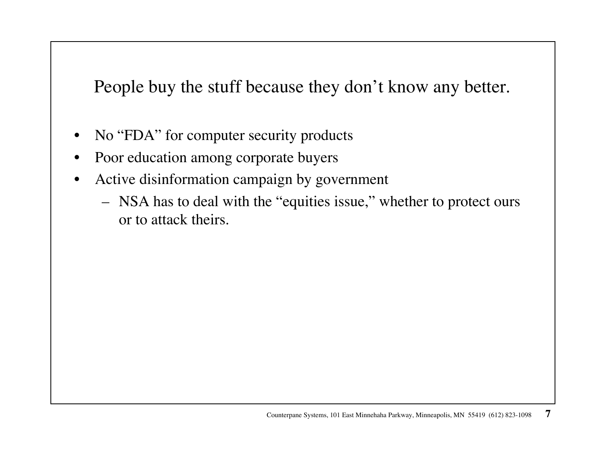People buy the stuff because they don't know any better.

- $\bullet$ No "FDA" for computer security products
- •Poor education among corporate buyers
- $\bullet$  Active disinformation campaign by government
	- NSA has to deal with the "equities issue," whether to protect ours or to attack theirs.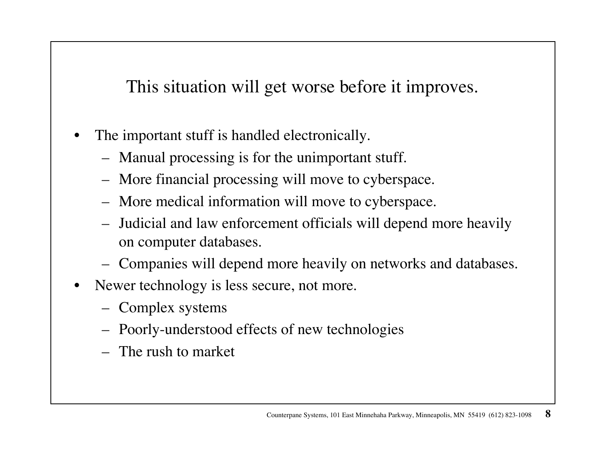This situation will get worse before it improves.

- • The important stuff is handled electronically.
	- Manual processing is for the unimportant stuff.
	- More financial processing will move to cyberspace.
	- More medical information will move to cyberspace.
	- Judicial and law enforcement officials will depend more heavily on computer databases.
	- Companies will depend more heavily on networks and databases.
- $\bullet$  Newer technology is less secure, not more.
	- Complex systems
	- Poorly-understood effects of new technologies
	- The rush to market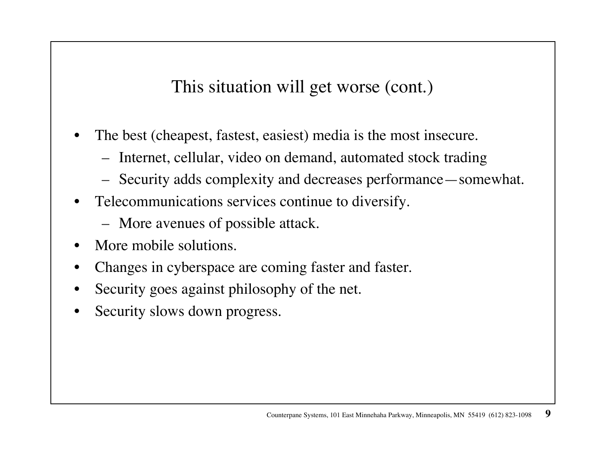This situation will get worse (cont.)

- • The best (cheapest, fastest, easiest) media is the most insecure.
	- –Internet, cellular, video on demand, automated stock trading
	- Security adds complexity and decreases performance—somewhat.
- • Telecommunications services continue to diversify.
	- More avenues of possible attack.
- •More mobile solutions.
- •Changes in cyberspace are coming faster and faster.
- •Security goes against philosophy of the net.
- •Security slows down progress.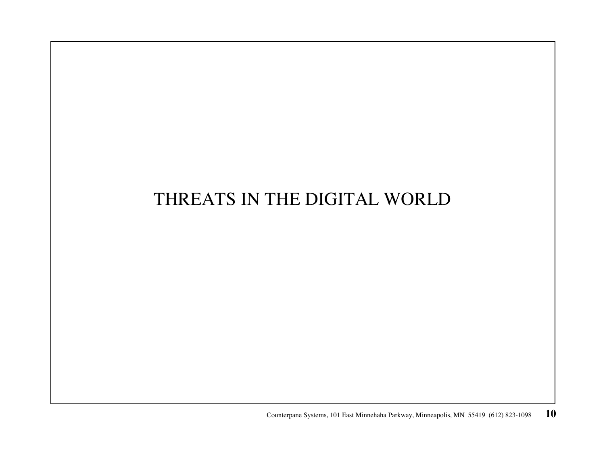#### THREATS IN THE DIGITAL WORLD

Counterpane Systems, 101 East Minnehaha Parkway, Minneapolis, MN 55419 (612) 823-1098 **10**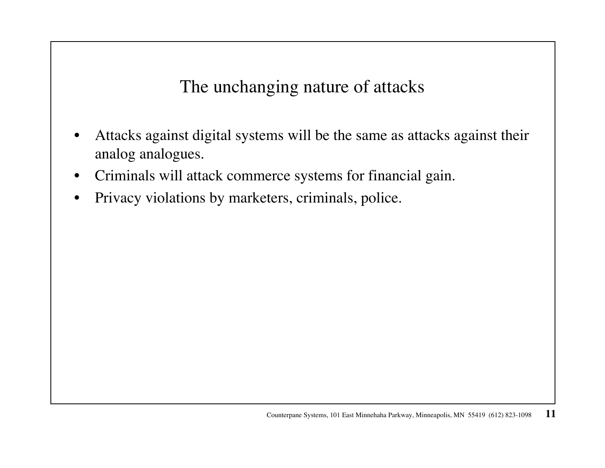The unchanging nature of attacks

- $\bullet$  Attacks against digital systems will be the same as attacks against their analog analogues.
- $\bullet$ Criminals will attack commerce systems for financial gain.
- $\bullet$ Privacy violations by marketers, criminals, police.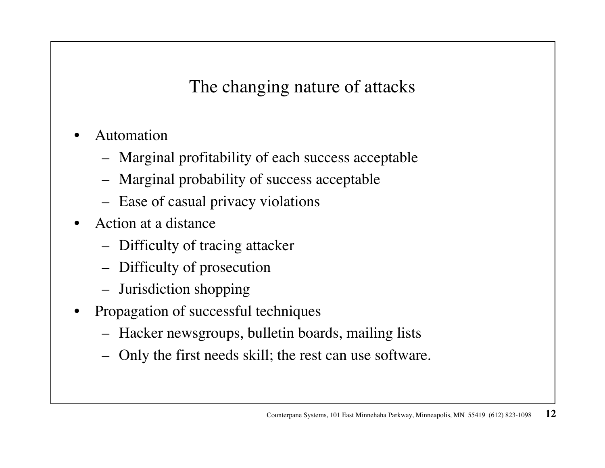The changing nature of attacks

- • Automation
	- Marginal profitability of each success acceptable
	- Marginal probability of success acceptable
	- Ease of casual privacy violations
- • Action at a distance
	- Difficulty of tracing attacker
	- Difficulty of prosecution
	- Jurisdiction shopping
- • Propagation of successful techniques
	- Hacker newsgroups, bulletin boards, mailing lists
	- Only the first needs skill; the rest can use software.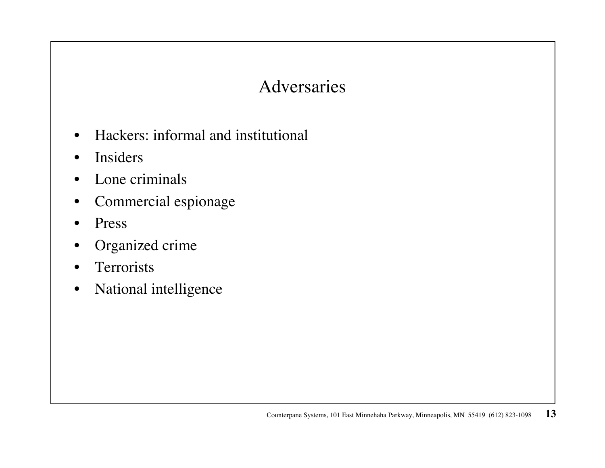#### Adversaries

- •Hackers: informal and institutional
- •Insiders
- •Lone criminals
- •Commercial espionage
- $\bullet$ Press
- •Organized crime
- •**Terrorists**
- •National intelligence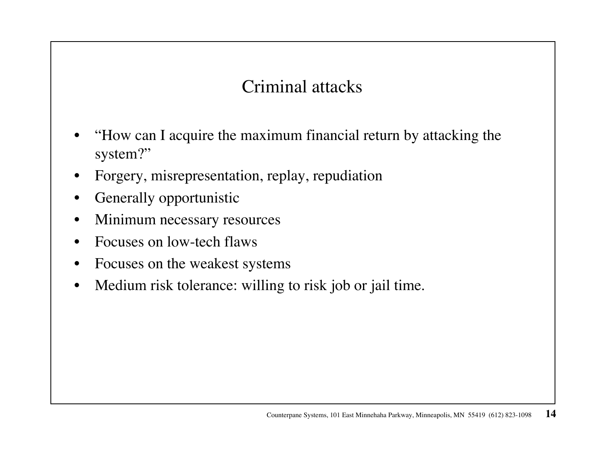#### Criminal attacks

- • "How can I acquire the maximum financial return by attacking the system?"
- •Forgery, misrepresentation, replay, repudiation
- $\bullet$ Generally opportunistic
- •Minimum necessary resources
- $\bullet$ Focuses on low-tech flaws
- •Focuses on the weakest systems
- $\bullet$ Medium risk tolerance: willing to risk job or jail time.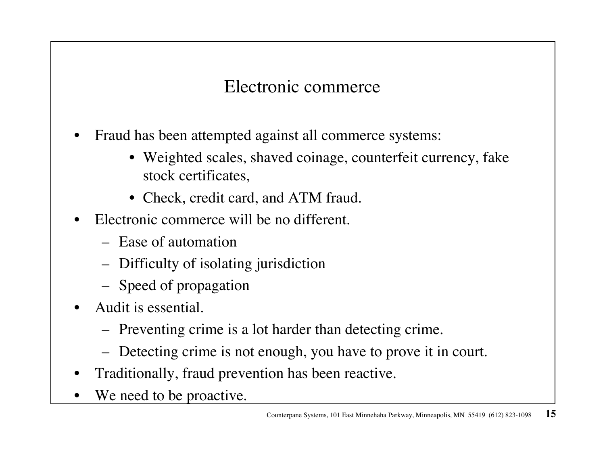#### Electronic commerce

- • Fraud has been attempted against all commerce systems:
	- Weighted scales, shaved coinage, counterfeit currency, fake stock certificates,
	- Check, credit card, and ATM fraud.
- • Electronic commerce will be no different.
	- Ease of automation
	- Difficulty of isolating jurisdiction
	- Speed of propagation
- • Audit is essential.
	- Preventing crime is a lot harder than detecting crime.
	- Detecting crime is not enough, you have to prove it in court.
- $\bullet$ Traditionally, fraud prevention has been reactive.
- •We need to be proactive.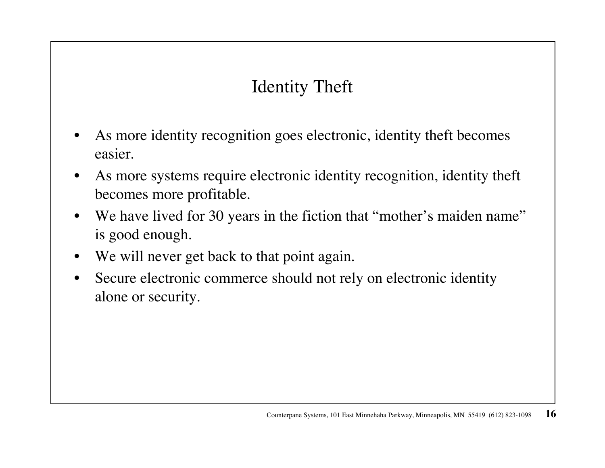# Identity Theft

- • As more identity recognition goes electronic, identity theft becomes easier.
- • As more systems require electronic identity recognition, identity theft becomes more profitable.
- $\bullet$ We have lived for 30 years in the fiction that "mother's maiden name" is good enough.
- •We will never get back to that point again.
- $\bullet$  Secure electronic commerce should not rely on electronic identity alone or security.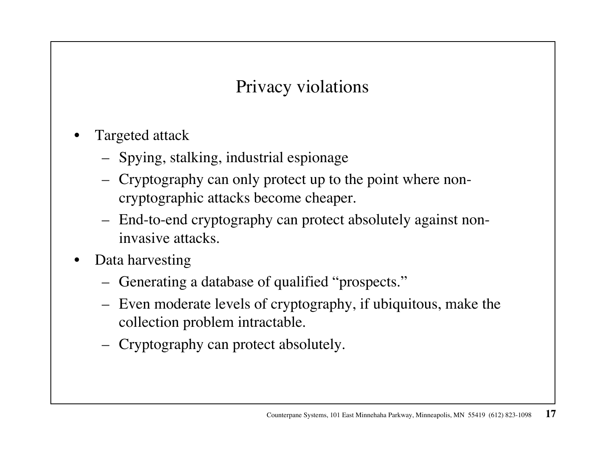#### Privacy violations

- • Targeted attack
	- Spying, stalking, industrial espionage
	- Cryptography can only protect up to the point where noncryptographic attacks become cheaper.
	- End-to-end cryptography can protect absolutely against noninvasive attacks.
- • Data harvesting
	- Generating a database of qualified "prospects."
	- Even moderate levels of cryptography, if ubiquitous, make the collection problem intractable.
	- Cryptography can protect absolutely.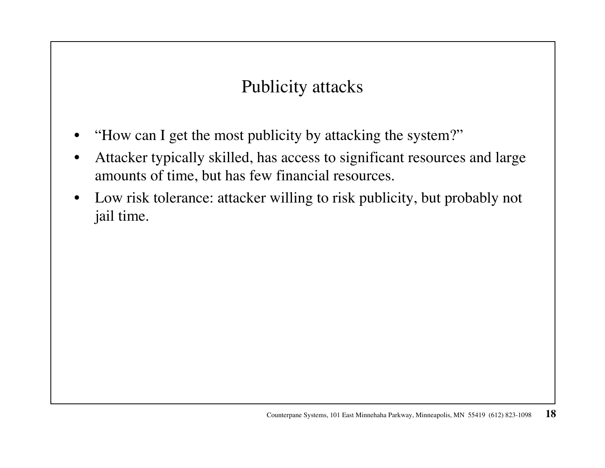#### Publicity attacks

- •"How can I get the most publicity by attacking the system?"
- • Attacker typically skilled, has access to significant resources and large amounts of time, but has few financial resources.
- $\bullet$  Low risk tolerance: attacker willing to risk publicity, but probably not jail time.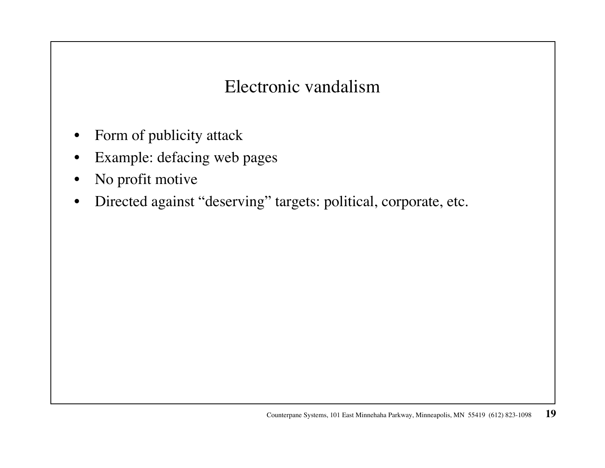#### Electronic vandalism

- $\bullet$ Form of publicity attack
- •Example: defacing web pages
- $\bullet$ No profit motive
- $\bullet$ Directed against "deserving" targets: political, corporate, etc.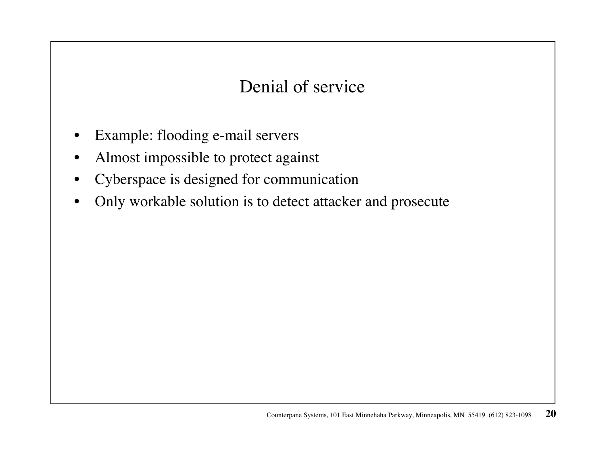#### Denial of service

- •Example: flooding e-mail servers
- •Almost impossible to protect against
- $\bullet$ Cyberspace is designed for communication
- •Only workable solution is to detect attacker and prosecute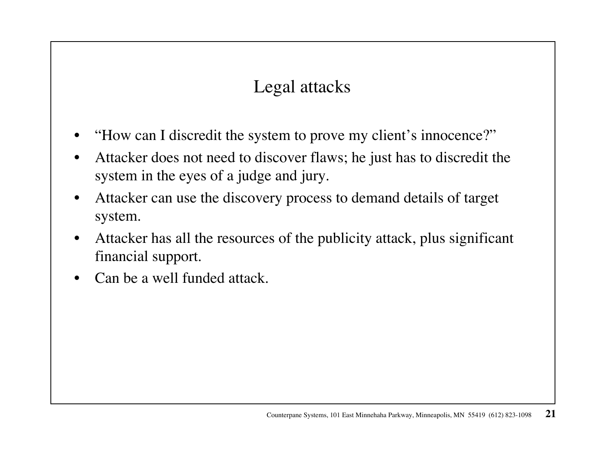## Legal attacks

- •"How can I discredit the system to prove my client's innocence?"
- • Attacker does not need to discover flaws; he just has to discredit the system in the eyes of a judge and jury.
- $\bullet$  Attacker can use the discovery process to demand details of target system.
- $\bullet$  Attacker has all the resources of the publicity attack, plus significant financial support.
- •Can be a well funded attack.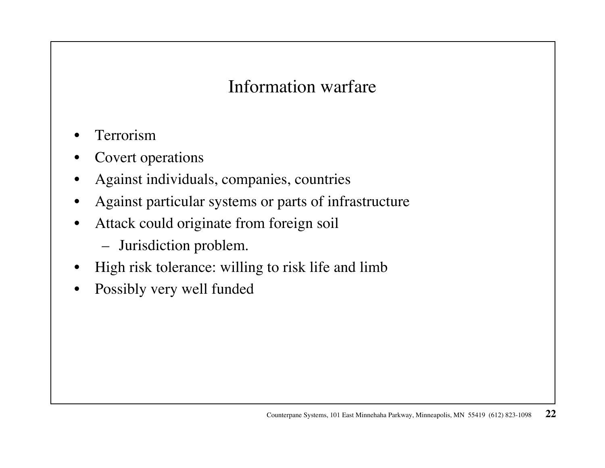#### Information warfare

- •Terrorism
- •Covert operations
- $\bullet$ Against individuals, companies, countries
- •Against particular systems or parts of infrastructure
- $\bullet$  Attack could originate from foreign soil
	- Jurisdiction problem.
- $\bullet$ High risk tolerance: willing to risk life and limb
- •Possibly very well funded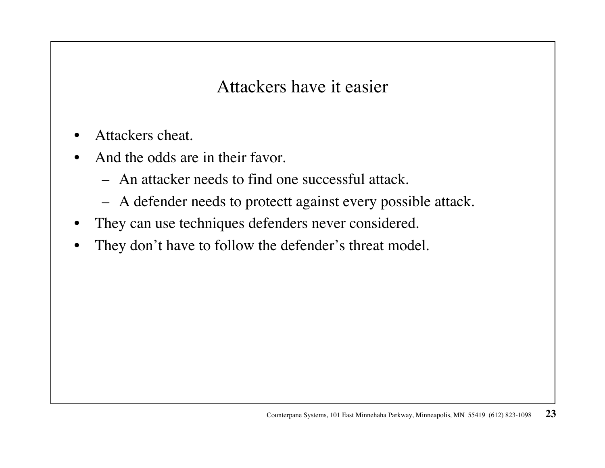Attackers have it easier

- $\bullet$ Attackers cheat.
- • And the odds are in their favor.
	- An attacker needs to find one successful attack.
	- A defender needs to protectt against every possible attack.
- $\bullet$ They can use techniques defenders never considered.
- •They don't have to follow the defender's threat model.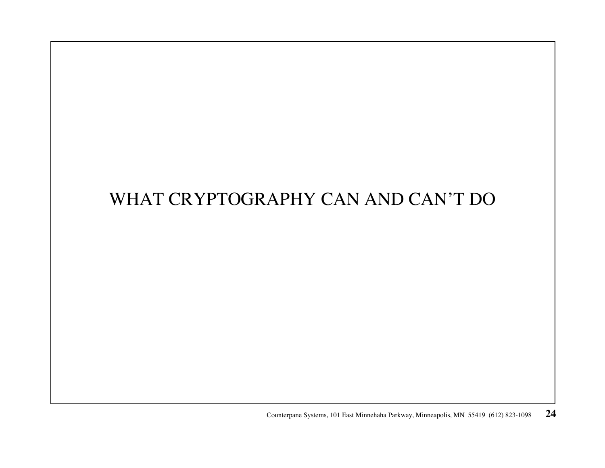# WHAT CRYPTOGRAPHY CAN AND CAN'T DO

Counterpane Systems, 101 East Minnehaha Parkway, Minneapolis, MN 55419 (612) 823-1098 **24**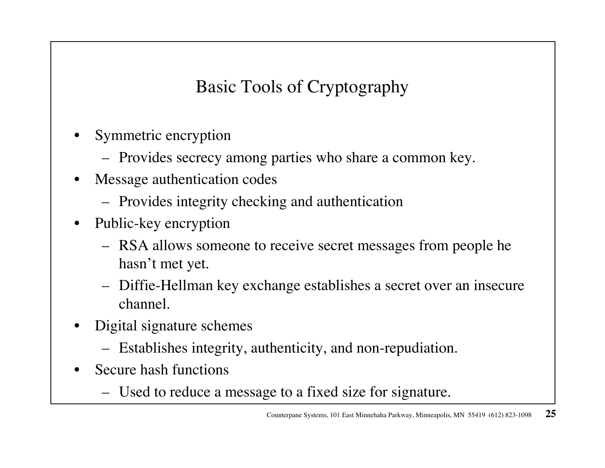Basic Tools of Cryptography

- • Symmetric encryption
	- Provides secrecy among parties who share a common key.
- $\bullet$  Message authentication codes
	- Provides integrity checking and authentication
- $\bullet$  Public-key encryption
	- RSA allows someone to receive secret messages from people he hasn't met yet.
	- Diffie-Hellman key exchange establishes a secret over an insecure channel.
- • Digital signature schemes
	- Establishes integrity, authenticity, and non-repudiation.
- • Secure hash functions
	- Used to reduce a message to a fixed size for signature.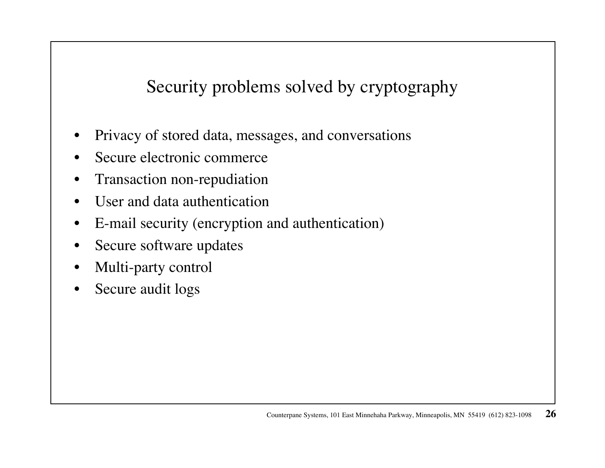Security problems solved by cryptography

- •Privacy of stored data, messages, and conversations
- •Secure electronic commerce
- $\bullet$ Transaction non-repudiation
- •User and data authentication
- $\bullet$ E-mail security (encryption and authentication)
- $\bullet$ Secure software updates
- $\bullet$ Multi-party control
- $\bullet$ Secure audit logs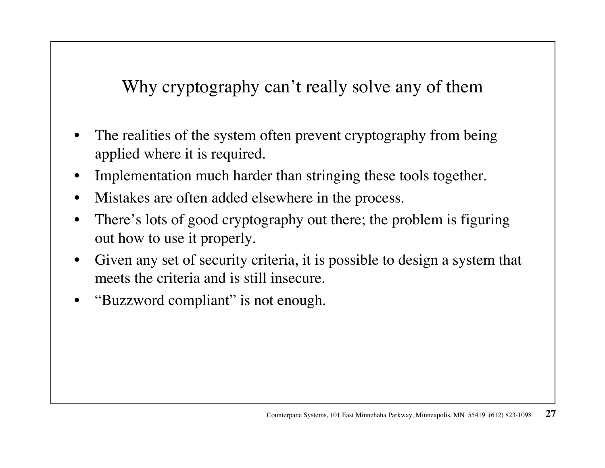Why cryptography can't really solve any of them

- • The realities of the system often prevent cryptography from being applied where it is required.
- •Implementation much harder than stringing these tools together.
- •Mistakes are often added elsewhere in the process.
- • There's lots of good cryptography out there; the problem is figuring out how to use it properly.
- • Given any set of security criteria, it is possible to design a system that meets the criteria and is still insecure.
- •"Buzzword compliant" is not enough.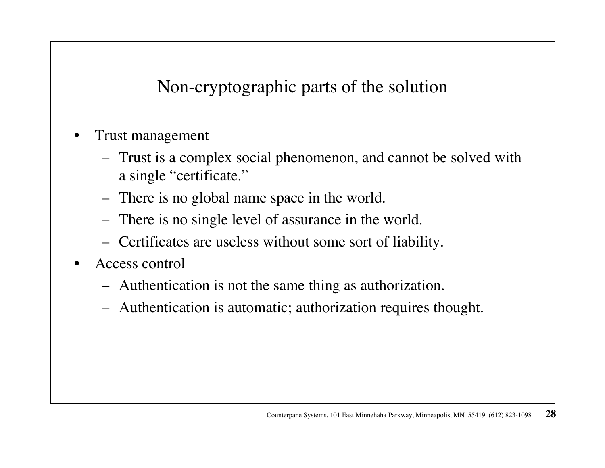Non-cryptographic parts of the solution

- • Trust management
	- Trust is a complex social phenomenon, and cannot be solved with a single "certificate."
	- –There is no global name space in the world.
	- There is no single level of assurance in the world.
	- Certificates are useless without some sort of liability.
- • Access control
	- Authentication is not the same thing as authorization.
	- Authentication is automatic; authorization requires thought.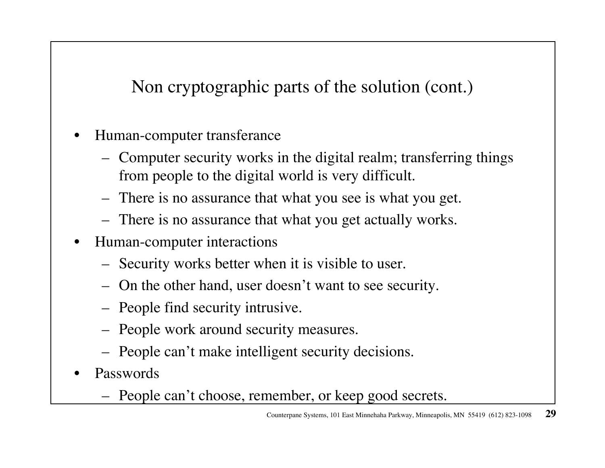Non cryptographic parts of the solution (cont.)

- • Human-computer transferance
	- Computer security works in the digital realm; transferring things from people to the digital world is very difficult.
	- There is no assurance that what you see is what you get.
	- There is no assurance that what you get actually works.
- $\bullet$  Human-computer interactions
	- Security works better when it is visible to user.
	- On the other hand, user doesn't want to see security.
	- People find security intrusive.
	- People work around security measures.
	- People can't make intelligent security decisions.
- • Passwords
	- People can't choose, remember, or keep good secrets.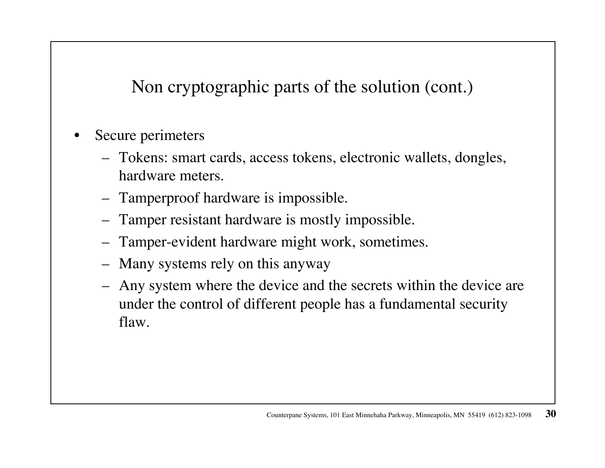Non cryptographic parts of the solution (cont.)

- • Secure perimeters
	- Tokens: smart cards, access tokens, electronic wallets, dongles, hardware meters.
	- Tamperproof hardware is impossible.
	- Tamper resistant hardware is mostly impossible.
	- Tamper-evident hardware might work, sometimes.
	- Many systems rely on this anyway
	- – Any system where the device and the secrets within the device are under the control of different people has a fundamental security flaw.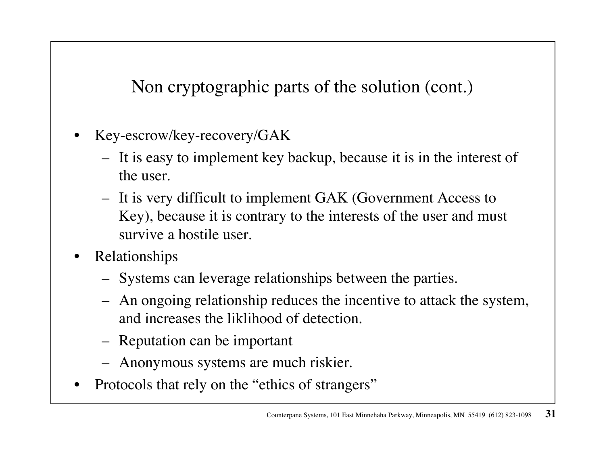Non cryptographic parts of the solution (cont.)

- • Key-escrow/key-recovery/GAK
	- It is easy to implement key backup, because it is in the interest of the user.
	- It is very difficult to implement GAK (Government Access to Key), because it is contrary to the interests of the user and must survive a hostile user.
- • Relationships
	- Systems can leverage relationships between the parties.
	- An ongoing relationship reduces the incentive to attack the system, and increases the liklihood of detection.
	- Reputation can be important
	- Anonymous systems are much riskier.
- •Protocols that rely on the "ethics of strangers"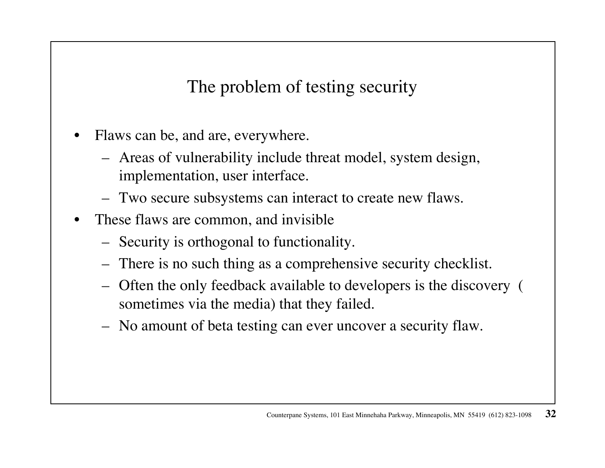The problem of testing security

- • Flaws can be, and are, everywhere.
	- Areas of vulnerability include threat model, system design, implementation, user interface.
	- Two secure subsystems can interact to create new flaws.
- • These flaws are common, and invisible
	- Security is orthogonal to functionality.
	- There is no such thing as a comprehensive security checklist.
	- Often the only feedback available to developers is the discovery ( sometimes via the media) that they failed.
	- No amount of beta testing can ever uncover a security flaw.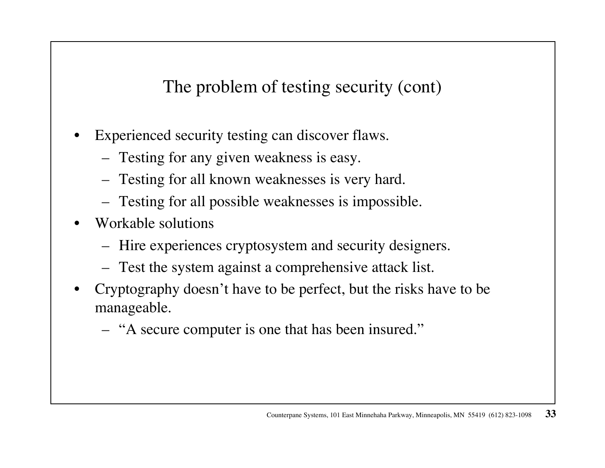The problem of testing security (cont)

- • Experienced security testing can discover flaws.
	- Testing for any given weakness is easy.
	- Testing for all known weaknesses is very hard.
	- Testing for all possible weaknesses is impossible.
- • Workable solutions
	- Hire experiences cryptosystem and security designers.
	- Test the system against a comprehensive attack list.
- • Cryptography doesn't have to be perfect, but the risks have to be manageable.
	- "A secure computer is one that has been insured."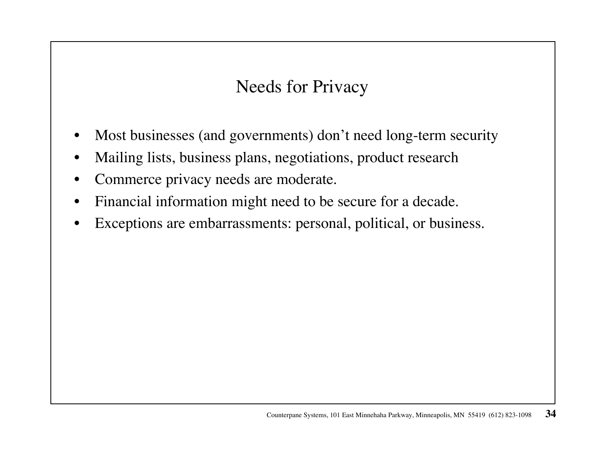# Needs for Privacy

- •Most businesses (and governments) don't need long-term security
- •Mailing lists, business plans, negotiations, product research
- $\bullet$ Commerce privacy needs are moderate.
- •Financial information might need to be secure for a decade.
- $\bullet$ Exceptions are embarrassments: personal, political, or business.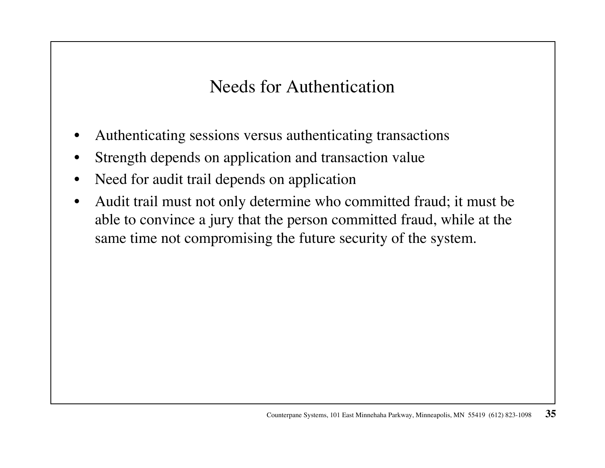Needs for Authentication

- •Authenticating sessions versus authenticating transactions
- •Strength depends on application and transaction value
- $\bullet$ Need for audit trail depends on application
- • Audit trail must not only determine who committed fraud; it must be able to convince a jury that the person committed fraud, while at the same time not compromising the future security of the system.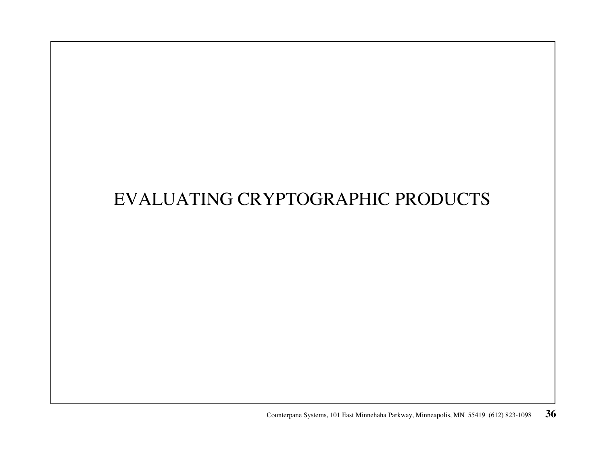# EVALUATING CRYPTOGRAPHIC PRODUCTS

Counterpane Systems, 101 East Minnehaha Parkway, Minneapolis, MN 55419 (612) 823-1098 **36**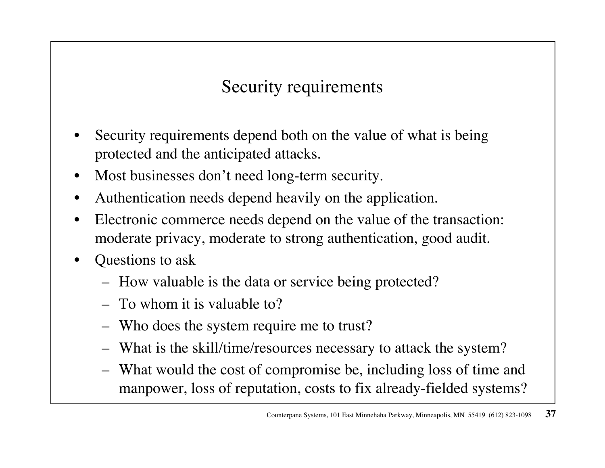# Security requirements

- • Security requirements depend both on the value of what is being protected and the anticipated attacks.
- •Most businesses don't need long-term security.
- •Authentication needs depend heavily on the application.
- • Electronic commerce needs depend on the value of the transaction: moderate privacy, moderate to strong authentication, good audit.
- • Questions to ask
	- How valuable is the data or service being protected?
	- To whom it is valuable to?
	- Who does the system require me to trust?
	- What is the skill/time/resources necessary to attack the system?
	- What would the cost of compromise be, including loss of time and manpower, loss of reputation, costs to fix already-fielded systems?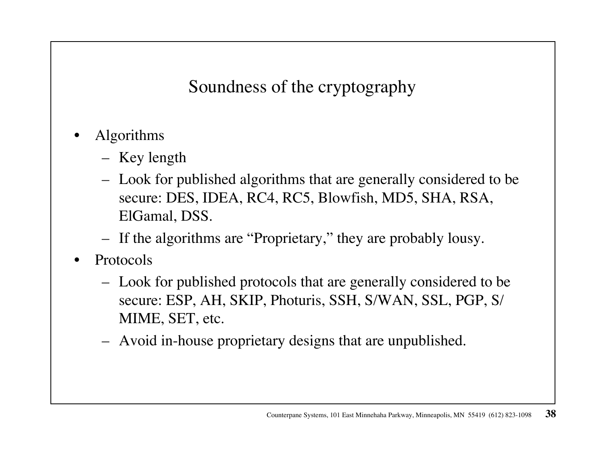Soundness of the cryptography

- • Algorithms
	- Key length
	- Look for published algorithms that are generally considered to be secure: DES, IDEA, RC4, RC5, Blowfish, MD5, SHA, RSA, ElGamal, DSS.
	- If the algorithms are "Proprietary," they are probably lousy.
- • Protocols
	- Look for published protocols that are generally considered to be secure: ESP, AH, SKIP, Photuris, SSH, S/WAN, SSL, PGP, S/ MIME, SET, etc.
	- Avoid in-house proprietary designs that are unpublished.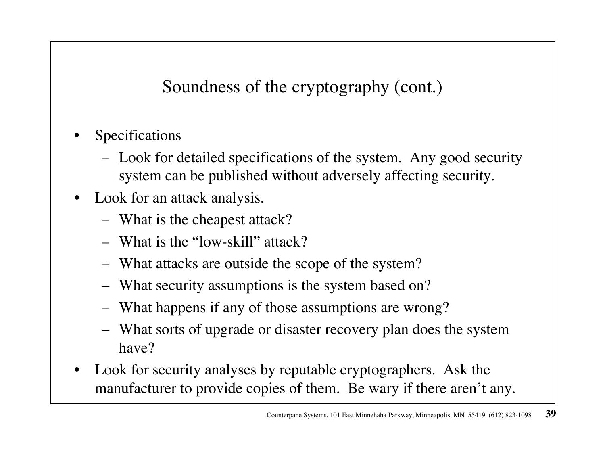Soundness of the cryptography (cont.)

- • Specifications
	- Look for detailed specifications of the system. Any good security system can be published without adversely affecting security.
- • Look for an attack analysis.
	- What is the cheapest attack?
	- What is the "low-skill" attack?
	- What attacks are outside the scope of the system?
	- What security assumptions is the system based on?
	- What happens if any of those assumptions are wrong?
	- What sorts of upgrade or disaster recovery plan does the system have?
- • Look for security analyses by reputable cryptographers. Ask the manufacturer to provide copies of them. Be wary if there aren't any.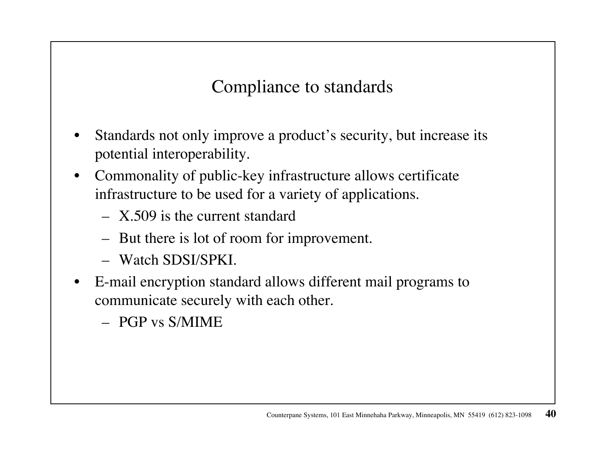Compliance to standards

- • Standards not only improve a product's security, but increase its potential interoperability.
- $\bullet$  Commonality of public-key infrastructure allows certificate infrastructure to be used for a variety of applications.
	- X.509 is the current standard
	- But there is lot of room for improvement.
	- Watch SDSI/SPKI.
- $\bullet$  E-mail encryption standard allows different mail programs to communicate securely with each other.
	- PGP vs S/MIME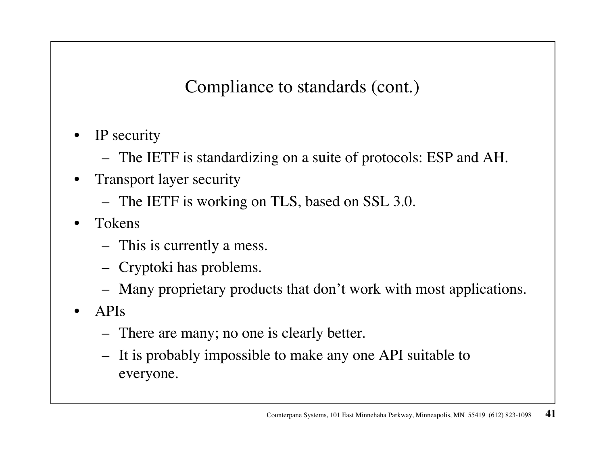Compliance to standards (cont.)

- $\bullet$  IP security
	- The IETF is standardizing on a suite of protocols: ESP and AH.
- $\bullet$  Transport layer security
	- The IETF is working on TLS, based on SSL 3.0.
- • Tokens
	- This is currently a mess.
	- Cryptoki has problems.
	- Many proprietary products that don't work with most applications.
- • APIs
	- There are many; no one is clearly better.
	- It is probably impossible to make any one API suitable to everyone.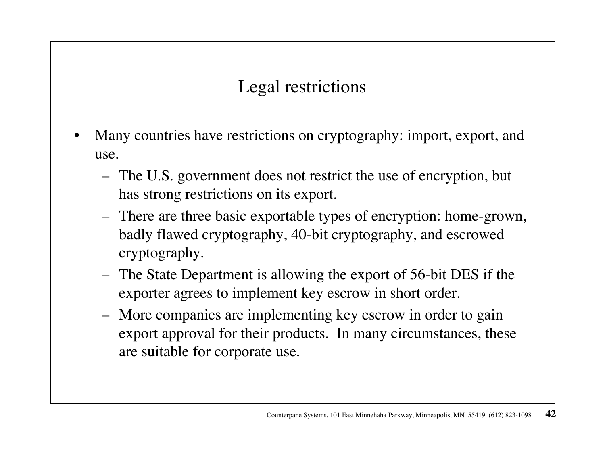#### Legal restrictions

- • Many countries have restrictions on cryptography: import, export, and use.
	- The U.S. government does not restrict the use of encryption, but has strong restrictions on its export.
	- There are three basic exportable types of encryption: home-grown, badly flawed cryptography, 40-bit cryptography, and escrowed cryptography.
	- The State Department is allowing the export of 56-bit DES if the exporter agrees to implement key escrow in short order.
	- More companies are implementing key escrow in order to gain export approval for their products. In many circumstances, these are suitable for corporate use.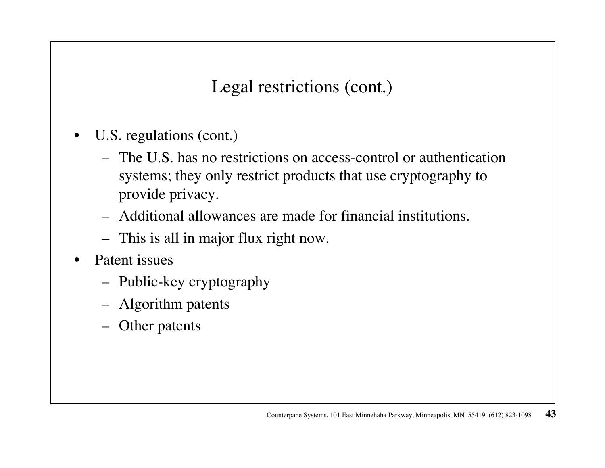Legal restrictions (cont.)

- • U.S. regulations (cont.)
	- The U.S. has no restrictions on access-control or authentication systems; they only restrict products that use cryptography to provide privacy.
	- Additional allowances are made for financial institutions.
	- This is all in major flux right now.
- • Patent issues
	- Public-key cryptography
	- Algorithm patents
	- Other patents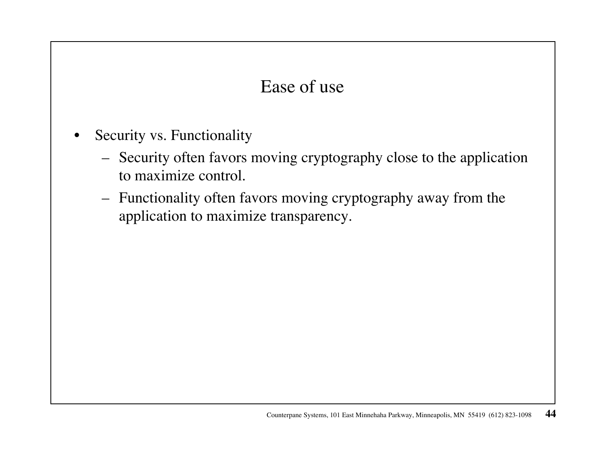#### Ease of use

- $\bullet$  Security vs. Functionality
	- Security often favors moving cryptography close to the application to maximize control.
	- Functionality often favors moving cryptography away from the application to maximize transparency.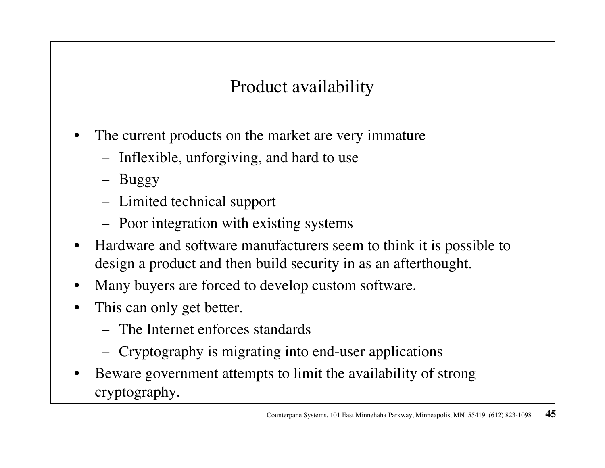# Product availability

- • The current products on the market are very immature
	- –Inflexible, unforgiving, and hard to use
	- Buggy
	- Limited technical support
	- Poor integration with existing systems
- • Hardware and software manufacturers seem to think it is possible to design a product and then build security in as an afterthought.
- •Many buyers are forced to develop custom software.
- • This can only get better.
	- The Internet enforces standards
	- Cryptography is migrating into end-user applications
- • Beware government attempts to limit the availability of strong cryptography.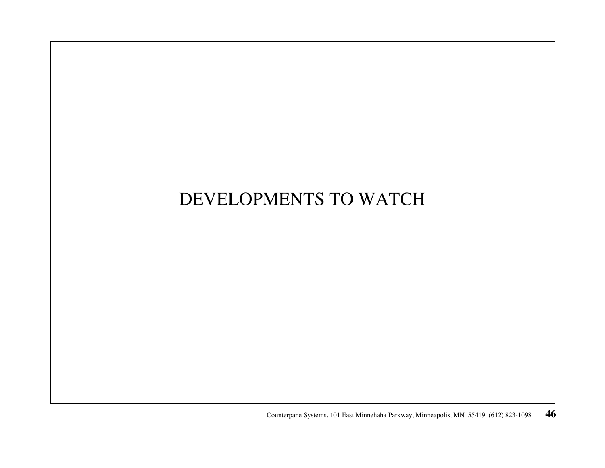# DEVELOPMENTS TO WATCH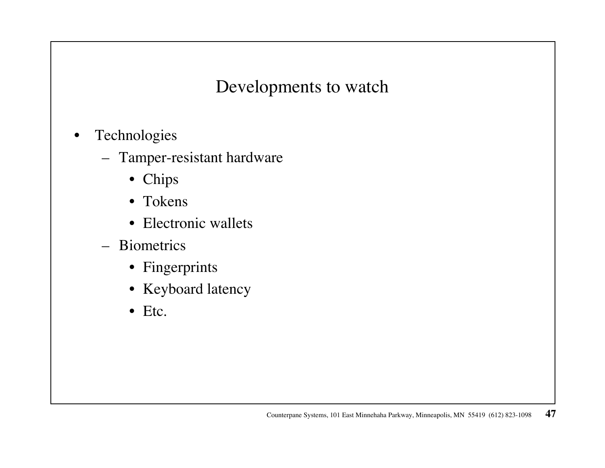Developments to watch

- • Technologies
	- Tamper-resistant hardware
		- Chips
		- Tokens
		- Electronic wallets
	- Biometrics
		- Fingerprints
		- Keyboard latency
		- Etc.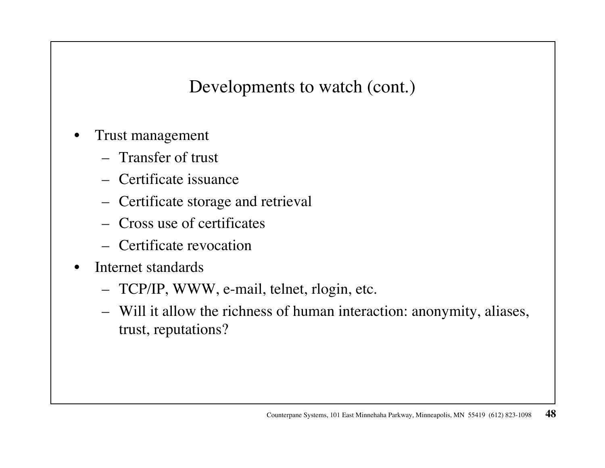Developments to watch (cont.)

- • Trust management
	- Transfer of trust
	- Certificate issuance
	- Certificate storage and retrieval
	- Cross use of certificates
	- Certificate revocation
- • Internet standards
	- TCP/IP, WWW, e-mail, telnet, rlogin, etc.
	- Will it allow the richness of human interaction: anonymity, aliases, trust, reputations?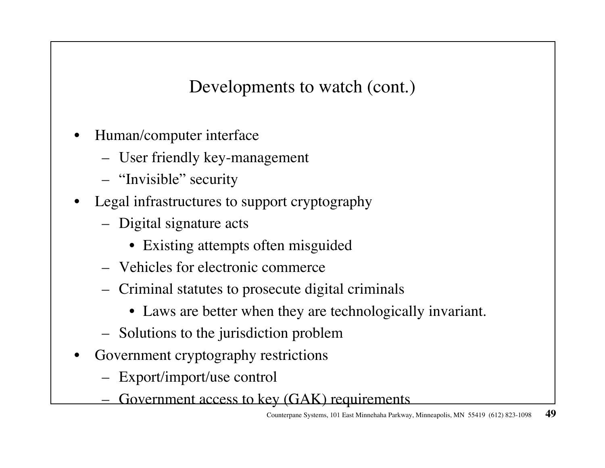Developments to watch (cont.)

- • Human/computer interface
	- User friendly key-management
	- "Invisible" security
- • Legal infrastructures to support cryptography
	- Digital signature acts
		- Existing attempts often misguided
	- Vehicles for electronic commerce
	- Criminal statutes to prosecute digital criminals
		- Laws are better when they are technologically invariant.
	- Solutions to the jurisdiction problem
- • Government cryptography restrictions
	- Export/import/use control
	- Government access to key (GAK) requirements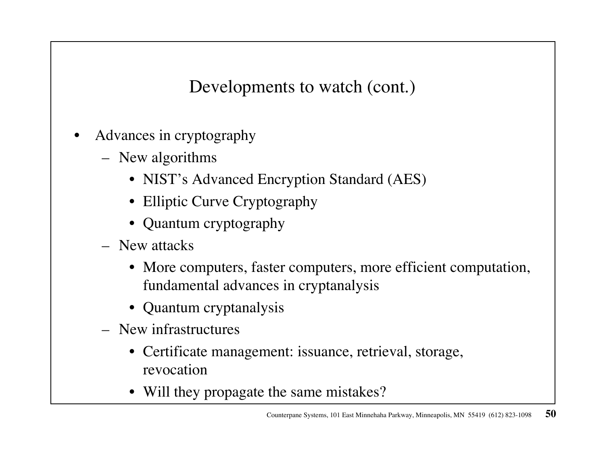Developments to watch (cont.)

- • Advances in cryptography
	- New algorithms
		- NIST's Advanced Encryption Standard (AES)
		- Elliptic Curve Cryptography
		- Quantum cryptography
	- New attacks
		- More computers, faster computers, more efficient computation, fundamental advances in cryptanalysis
		- Quantum cryptanalysis
	- New infrastructures
		- Certificate management: issuance, retrieval, storage, revocation
		- Will they propagate the same mistakes?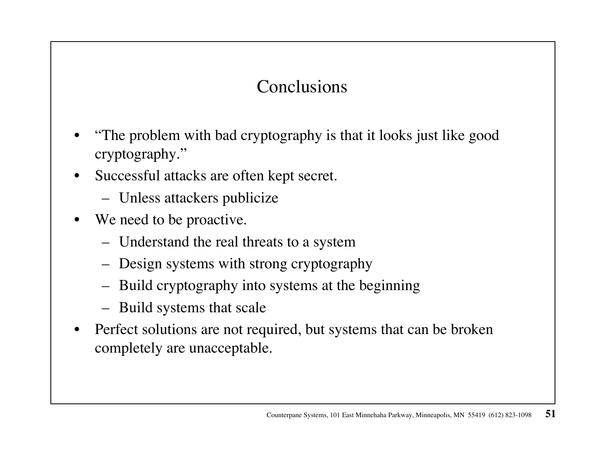# Conclusions

- • "The problem with bad cryptography is that it looks just like good cryptography."
- • Successful attacks are often kept secret.
	- Unless attackers publicize
- • We need to be proactive.
	- Understand the real threats to a system
	- Design systems with strong cryptography
	- Build cryptography into systems at the beginning
	- Build systems that scale
- $\bullet$  Perfect solutions are not required, but systems that can be broken completely are unacceptable.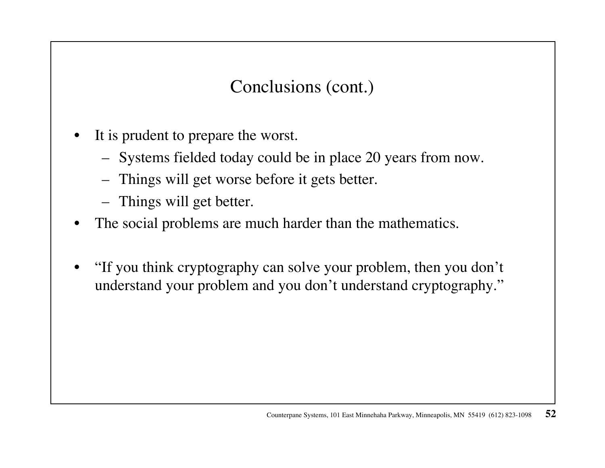Conclusions (cont.)

- • It is prudent to prepare the worst.
	- Systems fielded today could be in place 20 years from now.
	- –Things will get worse before it gets better.
	- Things will get better.
- •The social problems are much harder than the mathematics.
- • "If you think cryptography can solve your problem, then you don't understand your problem and you don't understand cryptography."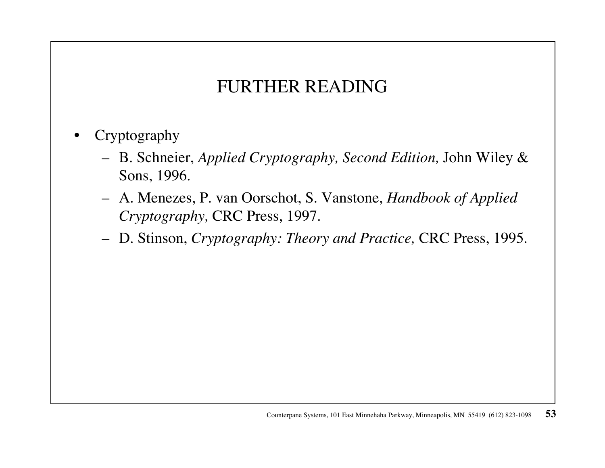#### FURTHER READING

- • Cryptography
	- B. Schneier, *Applied Cryptography, Second Edition,* John Wiley & Sons, 1996.
	- A. Menezes, P. van Oorschot, S. Vanstone, *Handbook of Applied Cryptography,* CRC Press, 1997.
	- D. Stinson, *Cryptography: Theory and Practice,* CRC Press, 1995.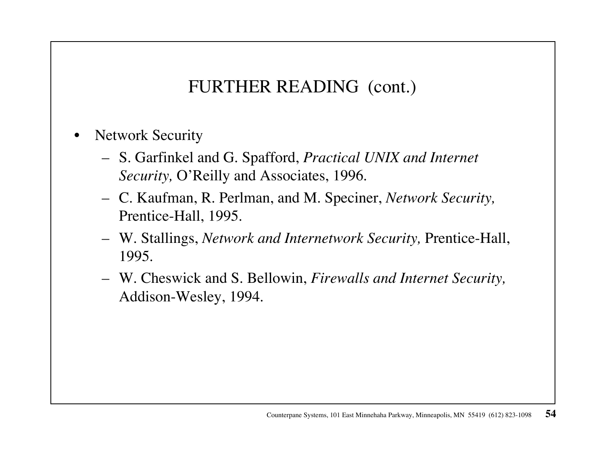#### FURTHER READING (cont.)

- • Network Security
	- S. Garfinkel and G. Spafford, *Practical UNIX and Internet Security,* O'Reilly and Associates, 1996.
	- C. Kaufman, R. Perlman, and M. Speciner, *Network Security,* Prentice-Hall, 1995.
	- W. Stallings, *Network and Internetwork Security,* Prentice-Hall, 1995.
	- W. Cheswick and S. Bellowin, *Firewalls and Internet Security,*  Addison-Wesley, 1994.